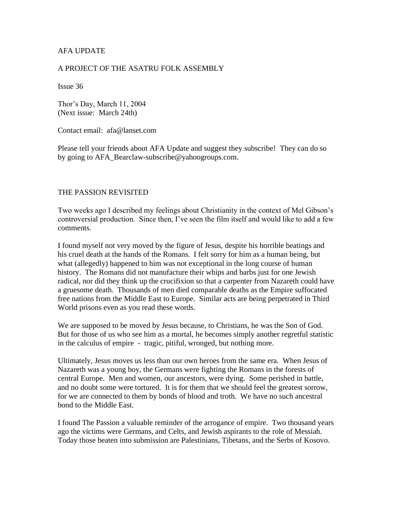# AFA UPDATE

### A PROJECT OF THE ASATRU FOLK ASSEMBLY

Issue 36

Thor's Day, March 11, 2004 (Next issue: March 24th)

Contact email: afa@lanset.com

Please tell your friends about AFA Update and suggest they subscribe! They can do so by going to AFA\_Bearclaw-subscribe@yahoogroups.com.

#### THE PASSION REVISITED

Two weeks ago I described my feelings about Christianity in the context of Mel Gibson's controversial production. Since then, I've seen the film itself and would like to add a few comments.

I found myself not very moved by the figure of Jesus, despite his horrible beatings and his cruel death at the hands of the Romans. I felt sorry for him as a human being, but what (allegedly) happened to him was not exceptional in the long course of human history. The Romans did not manufacture their whips and barbs just for one Jewish radical, nor did they think up the crucifixion so that a carpenter from Nazareth could have a gruesome death. Thousands of men died comparable deaths as the Empire suffocated free nations from the Middle East to Europe. Similar acts are being perpetrated in Third World prisons even as you read these words.

We are supposed to be moved by Jesus because, to Christians, he was the Son of God. But for those of us who see him as a mortal, he becomes simply another regretful statistic in the calculus of empire - tragic, pitiful, wronged, but nothing more.

Ultimately, Jesus moves us less than our own heroes from the same era. When Jesus of Nazareth was a young boy, the Germans were fighting the Romans in the forests of central Europe. Men and women, our ancestors, were dying. Some perished in battle, and no doubt some were tortured. It is for them that we should feel the greatest sorrow, for we are connected to them by bonds of blood and troth. We have no such ancestral bond to the Middle East.

I found The Passion a valuable reminder of the arrogance of empire. Two thousand years ago the victims were Germans, and Celts, and Jewish aspirants to the role of Messiah. Today those beaten into submission are Palestinians, Tibetans, and the Serbs of Kosovo.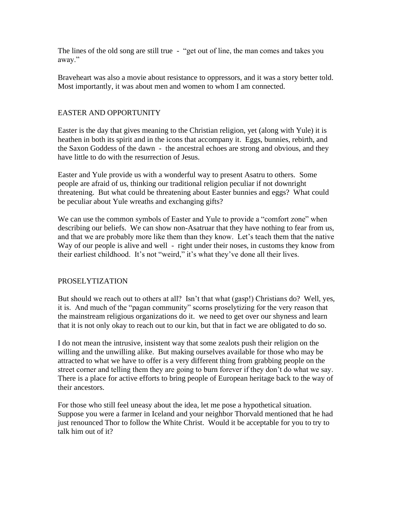The lines of the old song are still true - "get out of line, the man comes and takes you away."

Braveheart was also a movie about resistance to oppressors, and it was a story better told. Most importantly, it was about men and women to whom I am connected.

# EASTER AND OPPORTUNITY

Easter is the day that gives meaning to the Christian religion, yet (along with Yule) it is heathen in both its spirit and in the icons that accompany it. Eggs, bunnies, rebirth, and the Saxon Goddess of the dawn - the ancestral echoes are strong and obvious, and they have little to do with the resurrection of Jesus.

Easter and Yule provide us with a wonderful way to present Asatru to others. Some people are afraid of us, thinking our traditional religion peculiar if not downright threatening. But what could be threatening about Easter bunnies and eggs? What could be peculiar about Yule wreaths and exchanging gifts?

We can use the common symbols of Easter and Yule to provide a "comfort zone" when describing our beliefs. We can show non-Asatruar that they have nothing to fear from us, and that we are probably more like them than they know. Let's teach them that the native Way of our people is alive and well - right under their noses, in customs they know from their earliest childhood. It's not "weird," it's what they've done all their lives.

## PROSELYTIZATION

But should we reach out to others at all? Isn't that what (gasp!) Christians do? Well, yes, it is. And much of the "pagan community" scorns proselytizing for the very reason that the mainstream religious organizations do it. we need to get over our shyness and learn that it is not only okay to reach out to our kin, but that in fact we are obligated to do so.

I do not mean the intrusive, insistent way that some zealots push their religion on the willing and the unwilling alike. But making ourselves available for those who may be attracted to what we have to offer is a very different thing from grabbing people on the street corner and telling them they are going to burn forever if they don't do what we say. There is a place for active efforts to bring people of European heritage back to the way of their ancestors.

For those who still feel uneasy about the idea, let me pose a hypothetical situation. Suppose you were a farmer in Iceland and your neighbor Thorvald mentioned that he had just renounced Thor to follow the White Christ. Would it be acceptable for you to try to talk him out of it?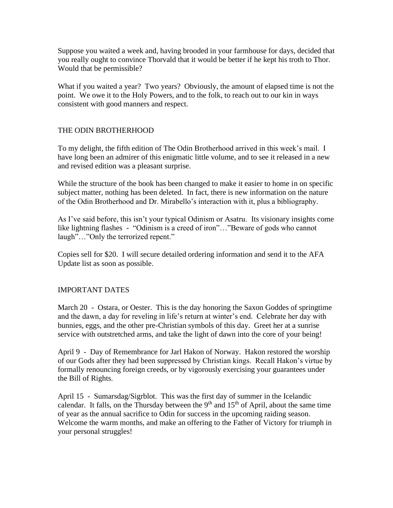Suppose you waited a week and, having brooded in your farmhouse for days, decided that you really ought to convince Thorvald that it would be better if he kept his troth to Thor. Would that be permissible?

What if you waited a year? Two years? Obviously, the amount of elapsed time is not the point. We owe it to the Holy Powers, and to the folk, to reach out to our kin in ways consistent with good manners and respect.

# THE ODIN BROTHERHOOD

To my delight, the fifth edition of The Odin Brotherhood arrived in this week's mail. I have long been an admirer of this enigmatic little volume, and to see it released in a new and revised edition was a pleasant surprise.

While the structure of the book has been changed to make it easier to home in on specific subject matter, nothing has been deleted. In fact, there is new information on the nature of the Odin Brotherhood and Dr. Mirabello's interaction with it, plus a bibliography.

As I've said before, this isn't your typical Odinism or Asatru. Its visionary insights come like lightning flashes - "Odinism is a creed of iron"…"Beware of gods who cannot laugh"..."Only the terrorized repent."

Copies sell for \$20. I will secure detailed ordering information and send it to the AFA Update list as soon as possible.

## IMPORTANT DATES

March 20 - Ostara, or Oester. This is the day honoring the Saxon Goddes of springtime and the dawn, a day for reveling in life's return at winter's end. Celebrate her day with bunnies, eggs, and the other pre-Christian symbols of this day. Greet her at a sunrise service with outstretched arms, and take the light of dawn into the core of your being!

April 9 - Day of Remembrance for Jarl Hakon of Norway. Hakon restored the worship of our Gods after they had been suppressed by Christian kings. Recall Hakon's virtue by formally renouncing foreign creeds, or by vigorously exercising your guarantees under the Bill of Rights.

April 15 - Sumarsdag/Sigrblot. This was the first day of summer in the Icelandic calendar. It falls, on the Thursday between the  $9<sup>th</sup>$  and  $15<sup>th</sup>$  of April, about the same time of year as the annual sacrifice to Odin for success in the upcoming raiding season. Welcome the warm months, and make an offering to the Father of Victory for triumph in your personal struggles!